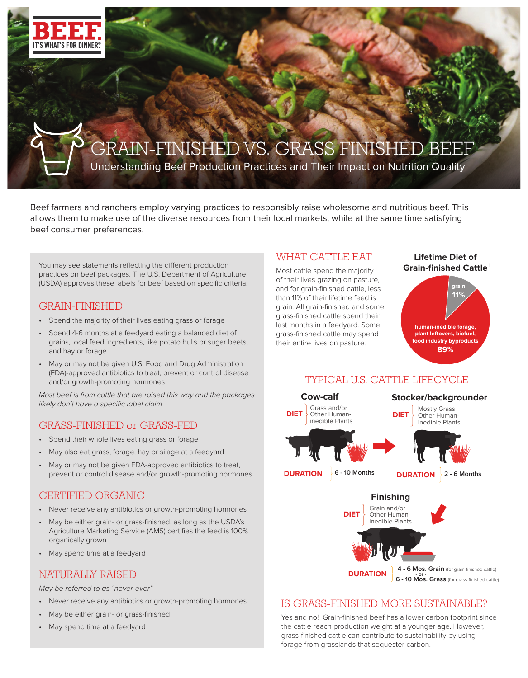

# GRAIN-FINISHED VS. GRASS FINISHI

Understanding Beef Production Practices and Their Impact on Nutrition Quality

Beef farmers and ranchers employ varying practices to responsibly raise wholesome and nutritious beef. This allows them to make use of the diverse resources from their local markets, while at the same time satisfying beef consumer preferences.

You may see statements reflecting the different production practices on beef packages. The U.S. Department of Agriculture (USDA) approves these labels for beef based on specific criteria.

## GRAIN-FINISHED

- Spend the majority of their lives eating grass or forage
- Spend 4-6 months at a feedyard eating a balanced diet of grains, local feed ingredients, like potato hulls or sugar beets, and hay or forage
- May or may not be given U.S. Food and Drug Administration (FDA)-approved antibiotics to treat, prevent or control disease and/or growth-promoting hormones

Most beef is from cattle that are raised this way and the packages likely don't have a specific label claim

# GRASS-FINISHED or GRASS-FED

- Spend their whole lives eating grass or forage
- May also eat grass, forage, hay or silage at a feedyard
- May or may not be given FDA-approved antibiotics to treat, prevent or control disease and/or growth-promoting hormones

# CERTIFIED ORGANIC

- Never receive any antibiotics or growth-promoting hormones
- May be either grain- or grass-finished, as long as the USDA's Agriculture Marketing Service (AMS) certifies the feed is 100% organically grown
- May spend time at a feedyard

## NATURALLY RAISED

May be referred to as "never-ever"

- Never receive any antibiotics or growth-promoting hormones
- May be either grain- or grass-finished
- May spend time at a feedyard

## WHAT CATTLE EAT

Most cattle spend the majority of their lives grazing on pasture, and for grain-finished cattle, less than 11% of their lifetime feed is grain. All grain-finished and some grass-finished cattle spend their last months in a feedyard. Some grass-finished cattle may spend their entire lives on pasture.

#### **Lifetime Diet of Grain-finished Cattle** 1





# IS GRASS-FINISHED MORE SUSTAINABLE?

Yes and no! Grain-finished beef has a lower carbon footprint since the cattle reach production weight at a younger age. However, grass-finished cattle can contribute to sustainability by using forage from grasslands that sequester carbon.